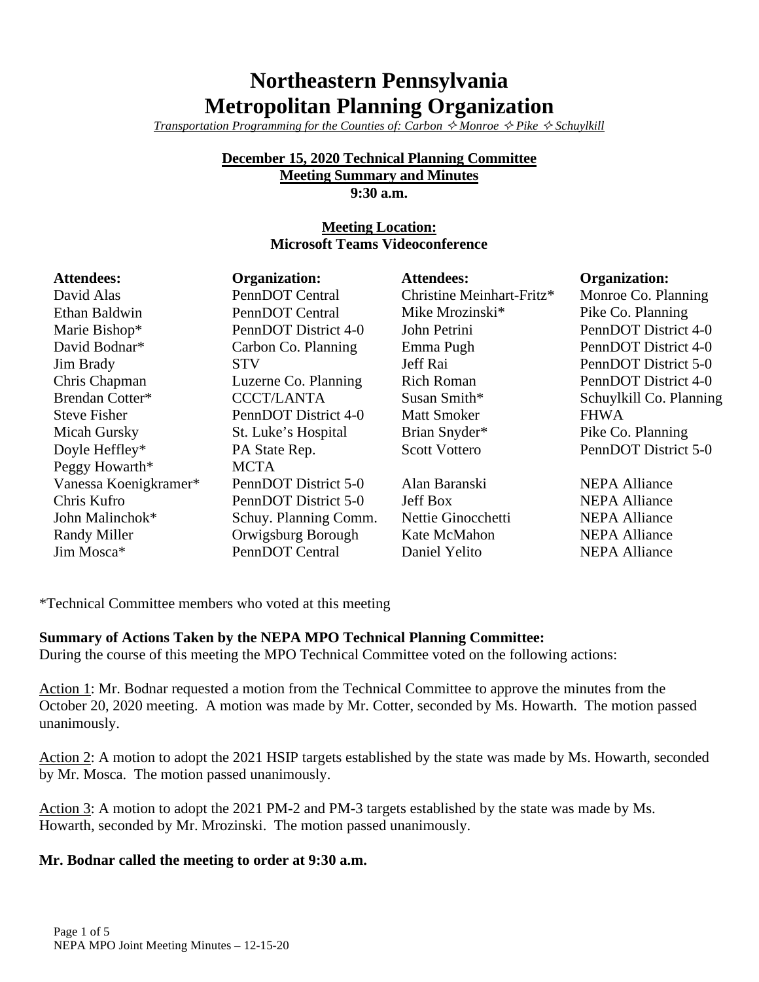# **Northeastern Pennsylvania Metropolitan Planning Organization**

*Transportation Programming for the Counties of: Carbon*  $\Diamond$  *Monroe*  $\Diamond$  *Pike*  $\Diamond$  Schuylkill

# **December 15, 2020 Technical Planning Committee**

**Meeting Summary and Minutes**

**9:30 a.m.**

## **Meeting Location: Microsoft Teams Videoconference**

| <b>Attendees:</b>     | <b>Organization:</b>  | <b>Attendees:</b>         | <b>Organization:</b>    |
|-----------------------|-----------------------|---------------------------|-------------------------|
| David Alas            | PennDOT Central       | Christine Meinhart-Fritz* | Monroe Co. Planning     |
| Ethan Baldwin         | PennDOT Central       | Mike Mrozinski*           | Pike Co. Planning       |
| Marie Bishop*         | PennDOT District 4-0  | John Petrini              | PennDOT District 4-0    |
| David Bodnar*         | Carbon Co. Planning   | Emma Pugh                 | PennDOT District 4-0    |
| Jim Brady             | <b>STV</b>            | Jeff Rai                  | PennDOT District 5-0    |
| Chris Chapman         | Luzerne Co. Planning  | <b>Rich Roman</b>         | PennDOT District 4-0    |
| Brendan Cotter*       | <b>CCCT/LANTA</b>     | Susan Smith*              | Schuylkill Co. Planning |
| <b>Steve Fisher</b>   | PennDOT District 4-0  | <b>Matt Smoker</b>        | <b>FHWA</b>             |
| Micah Gursky          | St. Luke's Hospital   | Brian Snyder*             | Pike Co. Planning       |
| Doyle Heffley*        | PA State Rep.         | <b>Scott Vottero</b>      | PennDOT District 5-0    |
| Peggy Howarth*        | <b>MCTA</b>           |                           |                         |
| Vanessa Koenigkramer* | PennDOT District 5-0  | Alan Baranski             | <b>NEPA Alliance</b>    |
| Chris Kufro           | PennDOT District 5-0  | <b>Jeff Box</b>           | <b>NEPA Alliance</b>    |
| John Malinchok*       | Schuy. Planning Comm. | Nettie Ginocchetti        | <b>NEPA Alliance</b>    |
| Randy Miller          | Orwigsburg Borough    | Kate McMahon              | <b>NEPA Alliance</b>    |
| Jim Mosca*            | PennDOT Central       | Daniel Yelito             | <b>NEPA Alliance</b>    |

\*Technical Committee members who voted at this meeting

#### **Summary of Actions Taken by the NEPA MPO Technical Planning Committee:**

During the course of this meeting the MPO Technical Committee voted on the following actions:

Action 1: Mr. Bodnar requested a motion from the Technical Committee to approve the minutes from the October 20, 2020 meeting. A motion was made by Mr. Cotter, seconded by Ms. Howarth. The motion passed unanimously.

Action 2: A motion to adopt the 2021 HSIP targets established by the state was made by Ms. Howarth, seconded by Mr. Mosca. The motion passed unanimously.

Action 3: A motion to adopt the 2021 PM-2 and PM-3 targets established by the state was made by Ms. Howarth, seconded by Mr. Mrozinski. The motion passed unanimously.

#### **Mr. Bodnar called the meeting to order at 9:30 a.m.**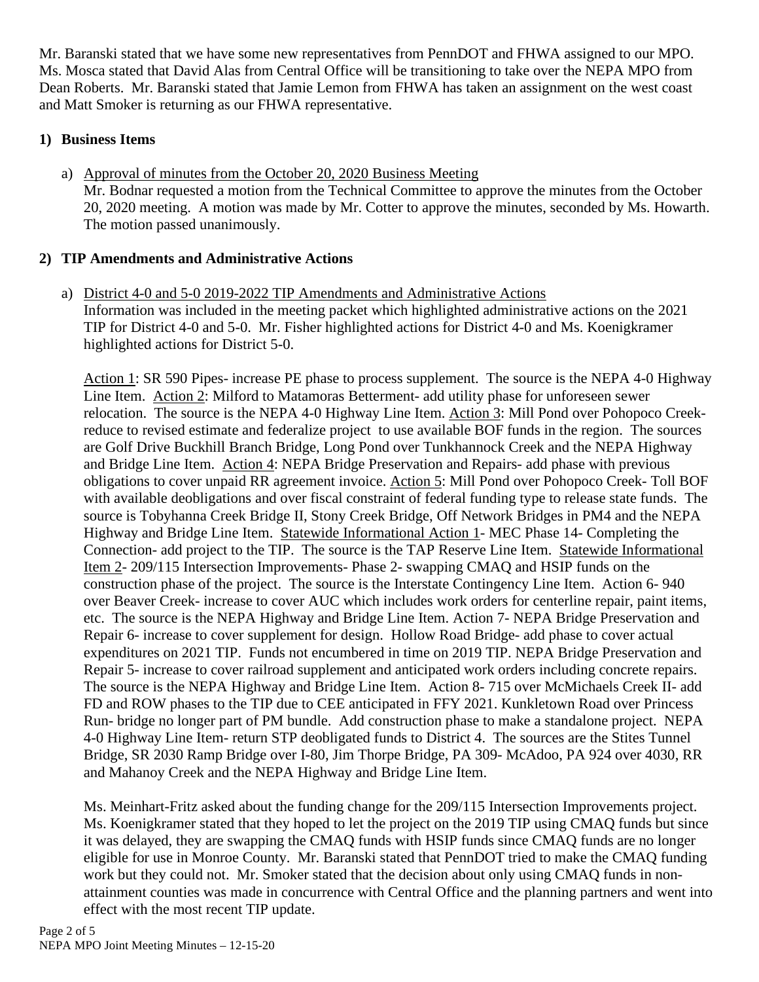Mr. Baranski stated that we have some new representatives from PennDOT and FHWA assigned to our MPO. Ms. Mosca stated that David Alas from Central Office will be transitioning to take over the NEPA MPO from Dean Roberts. Mr. Baranski stated that Jamie Lemon from FHWA has taken an assignment on the west coast and Matt Smoker is returning as our FHWA representative.

# **1) Business Items**

a) Approval of minutes from the October 20, 2020 Business Meeting Mr. Bodnar requested a motion from the Technical Committee to approve the minutes from the October 20, 2020 meeting. A motion was made by Mr. Cotter to approve the minutes, seconded by Ms. Howarth. The motion passed unanimously.

# **2) TIP Amendments and Administrative Actions**

a) District 4-0 and 5-0 2019-2022 TIP Amendments and Administrative Actions Information was included in the meeting packet which highlighted administrative actions on the 2021 TIP for District 4-0 and 5-0. Mr. Fisher highlighted actions for District 4-0 and Ms. Koenigkramer highlighted actions for District 5-0.

Action 1: SR 590 Pipes- increase PE phase to process supplement. The source is the NEPA 4-0 Highway Line Item. Action 2: Milford to Matamoras Betterment- add utility phase for unforeseen sewer relocation. The source is the NEPA 4-0 Highway Line Item. Action 3: Mill Pond over Pohopoco Creekreduce to revised estimate and federalize project to use available BOF funds in the region. The sources are Golf Drive Buckhill Branch Bridge, Long Pond over Tunkhannock Creek and the NEPA Highway and Bridge Line Item. Action 4: NEPA Bridge Preservation and Repairs- add phase with previous obligations to cover unpaid RR agreement invoice. Action 5: Mill Pond over Pohopoco Creek- Toll BOF with available deobligations and over fiscal constraint of federal funding type to release state funds. The source is Tobyhanna Creek Bridge II, Stony Creek Bridge, Off Network Bridges in PM4 and the NEPA Highway and Bridge Line Item. Statewide Informational Action 1- MEC Phase 14- Completing the Connection- add project to the TIP. The source is the TAP Reserve Line Item. Statewide Informational Item 2- 209/115 Intersection Improvements- Phase 2- swapping CMAQ and HSIP funds on the construction phase of the project. The source is the Interstate Contingency Line Item. Action 6- 940 over Beaver Creek- increase to cover AUC which includes work orders for centerline repair, paint items, etc. The source is the NEPA Highway and Bridge Line Item. Action 7- NEPA Bridge Preservation and Repair 6- increase to cover supplement for design. Hollow Road Bridge- add phase to cover actual expenditures on 2021 TIP. Funds not encumbered in time on 2019 TIP. NEPA Bridge Preservation and Repair 5- increase to cover railroad supplement and anticipated work orders including concrete repairs. The source is the NEPA Highway and Bridge Line Item. Action 8- 715 over McMichaels Creek II- add FD and ROW phases to the TIP due to CEE anticipated in FFY 2021. Kunkletown Road over Princess Run- bridge no longer part of PM bundle. Add construction phase to make a standalone project. NEPA 4-0 Highway Line Item- return STP deobligated funds to District 4. The sources are the Stites Tunnel Bridge, SR 2030 Ramp Bridge over I-80, Jim Thorpe Bridge, PA 309- McAdoo, PA 924 over 4030, RR and Mahanoy Creek and the NEPA Highway and Bridge Line Item.

Ms. Meinhart-Fritz asked about the funding change for the 209/115 Intersection Improvements project. Ms. Koenigkramer stated that they hoped to let the project on the 2019 TIP using CMAQ funds but since it was delayed, they are swapping the CMAQ funds with HSIP funds since CMAQ funds are no longer eligible for use in Monroe County. Mr. Baranski stated that PennDOT tried to make the CMAQ funding work but they could not. Mr. Smoker stated that the decision about only using CMAQ funds in nonattainment counties was made in concurrence with Central Office and the planning partners and went into effect with the most recent TIP update.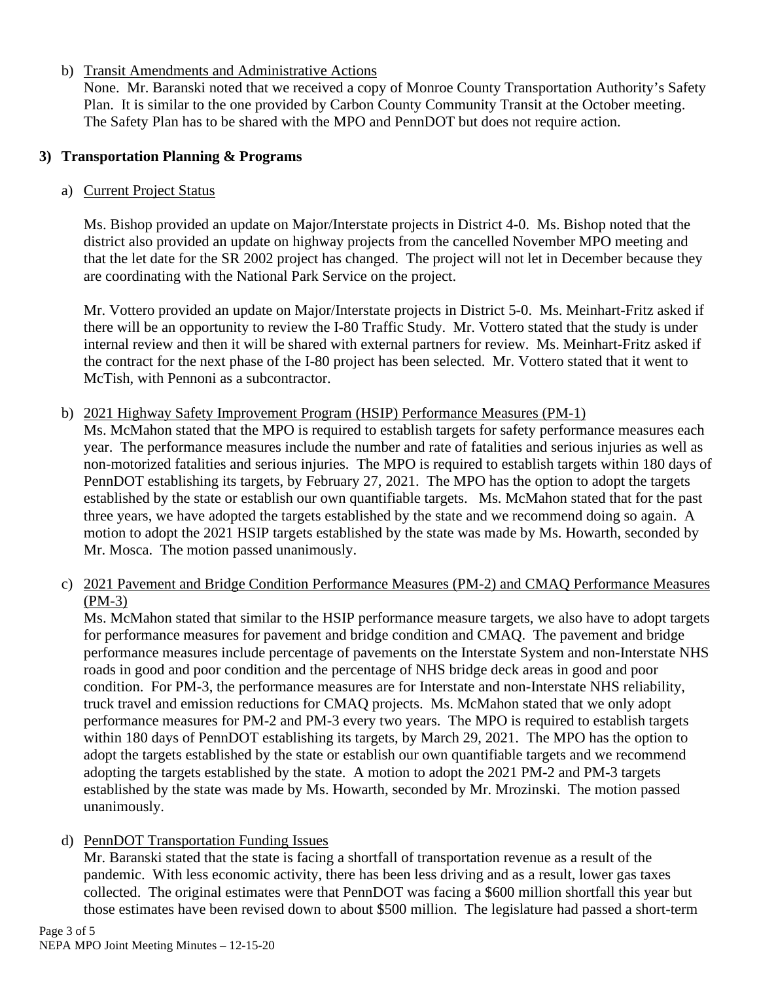## b) Transit Amendments and Administrative Actions

None. Mr. Baranski noted that we received a copy of Monroe County Transportation Authority's Safety Plan. It is similar to the one provided by Carbon County Community Transit at the October meeting. The Safety Plan has to be shared with the MPO and PennDOT but does not require action.

#### **3) Transportation Planning & Programs**

#### a) Current Project Status

Ms. Bishop provided an update on Major/Interstate projects in District 4-0. Ms. Bishop noted that the district also provided an update on highway projects from the cancelled November MPO meeting and that the let date for the SR 2002 project has changed. The project will not let in December because they are coordinating with the National Park Service on the project.

Mr. Vottero provided an update on Major/Interstate projects in District 5-0. Ms. Meinhart-Fritz asked if there will be an opportunity to review the I-80 Traffic Study. Mr. Vottero stated that the study is under internal review and then it will be shared with external partners for review. Ms. Meinhart-Fritz asked if the contract for the next phase of the I-80 project has been selected. Mr. Vottero stated that it went to McTish, with Pennoni as a subcontractor.

#### b) 2021 Highway Safety Improvement Program (HSIP) Performance Measures (PM-1)

Ms. McMahon stated that the MPO is required to establish targets for safety performance measures each year. The performance measures include the number and rate of fatalities and serious injuries as well as non-motorized fatalities and serious injuries. The MPO is required to establish targets within 180 days of PennDOT establishing its targets, by February 27, 2021. The MPO has the option to adopt the targets established by the state or establish our own quantifiable targets. Ms. McMahon stated that for the past three years, we have adopted the targets established by the state and we recommend doing so again. A motion to adopt the 2021 HSIP targets established by the state was made by Ms. Howarth, seconded by Mr. Mosca. The motion passed unanimously.

c) 2021 Pavement and Bridge Condition Performance Measures (PM-2) and CMAQ Performance Measures (PM-3)

Ms. McMahon stated that similar to the HSIP performance measure targets, we also have to adopt targets for performance measures for pavement and bridge condition and CMAQ. The pavement and bridge performance measures include percentage of pavements on the Interstate System and non-Interstate NHS roads in good and poor condition and the percentage of NHS bridge deck areas in good and poor condition. For PM-3, the performance measures are for Interstate and non-Interstate NHS reliability, truck travel and emission reductions for CMAQ projects. Ms. McMahon stated that we only adopt performance measures for PM-2 and PM-3 every two years. The MPO is required to establish targets within 180 days of PennDOT establishing its targets, by March 29, 2021. The MPO has the option to adopt the targets established by the state or establish our own quantifiable targets and we recommend adopting the targets established by the state. A motion to adopt the 2021 PM-2 and PM-3 targets established by the state was made by Ms. Howarth, seconded by Mr. Mrozinski. The motion passed unanimously.

#### d) PennDOT Transportation Funding Issues

Mr. Baranski stated that the state is facing a shortfall of transportation revenue as a result of the pandemic. With less economic activity, there has been less driving and as a result, lower gas taxes collected. The original estimates were that PennDOT was facing a \$600 million shortfall this year but those estimates have been revised down to about \$500 million. The legislature had passed a short-term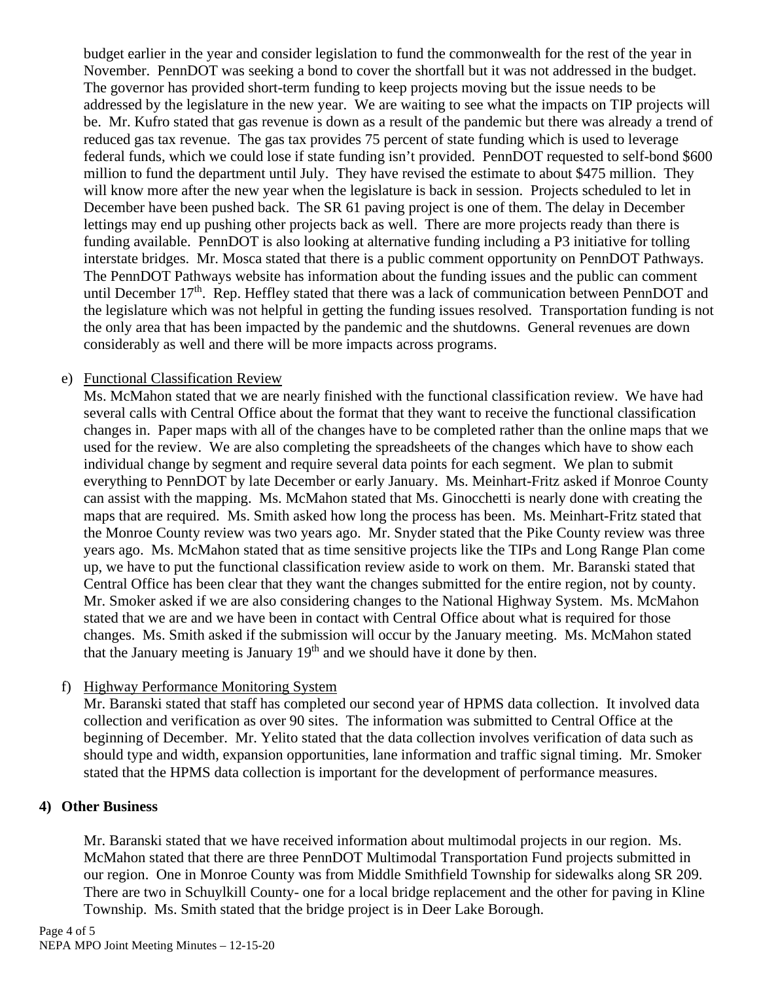budget earlier in the year and consider legislation to fund the commonwealth for the rest of the year in November. PennDOT was seeking a bond to cover the shortfall but it was not addressed in the budget. The governor has provided short-term funding to keep projects moving but the issue needs to be addressed by the legislature in the new year. We are waiting to see what the impacts on TIP projects will be. Mr. Kufro stated that gas revenue is down as a result of the pandemic but there was already a trend of reduced gas tax revenue. The gas tax provides 75 percent of state funding which is used to leverage federal funds, which we could lose if state funding isn't provided. PennDOT requested to self-bond \$600 million to fund the department until July. They have revised the estimate to about \$475 million. They will know more after the new year when the legislature is back in session. Projects scheduled to let in December have been pushed back. The SR 61 paving project is one of them. The delay in December lettings may end up pushing other projects back as well. There are more projects ready than there is funding available. PennDOT is also looking at alternative funding including a P3 initiative for tolling interstate bridges. Mr. Mosca stated that there is a public comment opportunity on PennDOT Pathways. The PennDOT Pathways website has information about the funding issues and the public can comment until December  $17<sup>th</sup>$ . Rep. Heffley stated that there was a lack of communication between PennDOT and the legislature which was not helpful in getting the funding issues resolved. Transportation funding is not the only area that has been impacted by the pandemic and the shutdowns. General revenues are down considerably as well and there will be more impacts across programs.

#### e) Functional Classification Review

Ms. McMahon stated that we are nearly finished with the functional classification review. We have had several calls with Central Office about the format that they want to receive the functional classification changes in. Paper maps with all of the changes have to be completed rather than the online maps that we used for the review. We are also completing the spreadsheets of the changes which have to show each individual change by segment and require several data points for each segment. We plan to submit everything to PennDOT by late December or early January. Ms. Meinhart-Fritz asked if Monroe County can assist with the mapping. Ms. McMahon stated that Ms. Ginocchetti is nearly done with creating the maps that are required. Ms. Smith asked how long the process has been. Ms. Meinhart-Fritz stated that the Monroe County review was two years ago. Mr. Snyder stated that the Pike County review was three years ago. Ms. McMahon stated that as time sensitive projects like the TIPs and Long Range Plan come up, we have to put the functional classification review aside to work on them. Mr. Baranski stated that Central Office has been clear that they want the changes submitted for the entire region, not by county. Mr. Smoker asked if we are also considering changes to the National Highway System. Ms. McMahon stated that we are and we have been in contact with Central Office about what is required for those changes. Ms. Smith asked if the submission will occur by the January meeting. Ms. McMahon stated that the January meeting is January 19<sup>th</sup> and we should have it done by then.

#### f) Highway Performance Monitoring System

Mr. Baranski stated that staff has completed our second year of HPMS data collection. It involved data collection and verification as over 90 sites. The information was submitted to Central Office at the beginning of December. Mr. Yelito stated that the data collection involves verification of data such as should type and width, expansion opportunities, lane information and traffic signal timing. Mr. Smoker stated that the HPMS data collection is important for the development of performance measures.

#### **4) Other Business**

Mr. Baranski stated that we have received information about multimodal projects in our region. Ms. McMahon stated that there are three PennDOT Multimodal Transportation Fund projects submitted in our region. One in Monroe County was from Middle Smithfield Township for sidewalks along SR 209. There are two in Schuylkill County- one for a local bridge replacement and the other for paving in Kline Township. Ms. Smith stated that the bridge project is in Deer Lake Borough.